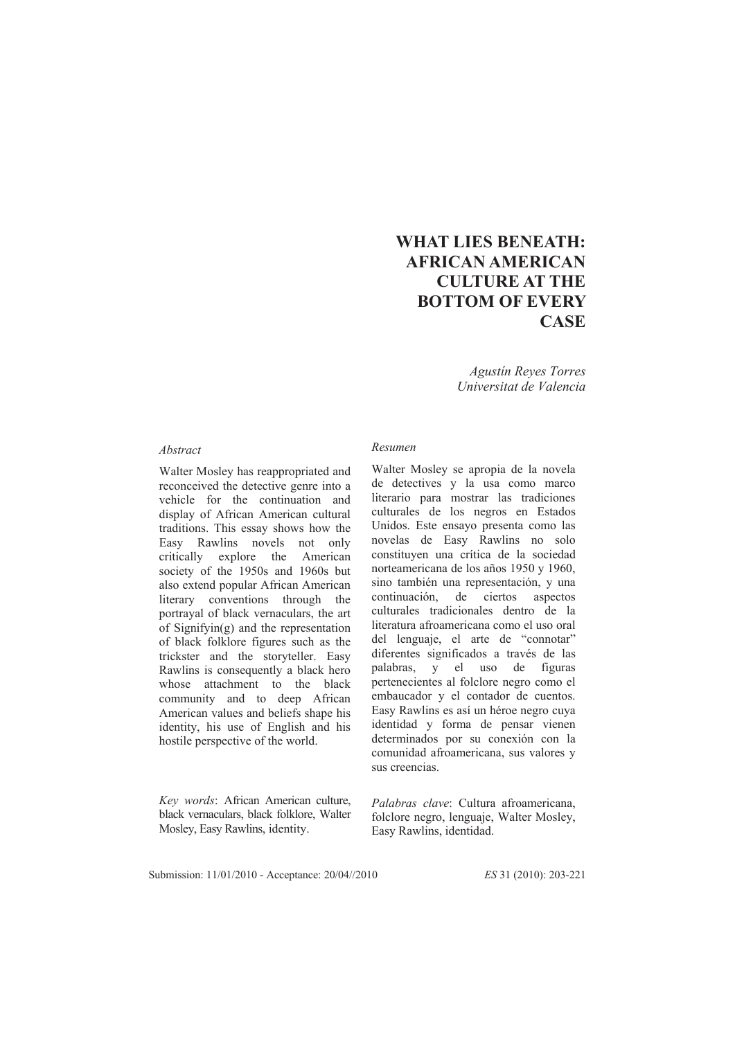## **WHAT LIES BENEATH: AFRICAN AMERICAN CULTURE AT THE BOTTOM OF EVERY CASE**

*Agustín Reyes Torres Universitat de Valencia* 

## *Abstract*

Walter Mosley has reappropriated and reconceived the detective genre into a vehicle for the continuation and display of African American cultural traditions. This essay shows how the Easy Rawlins novels not only critically explore the American society of the 1950s and 1960s but also extend popular African American literary conventions through the portrayal of black vernaculars, the art of Signifyin(g) and the representation of black folklore figures such as the trickster and the storyteller. Easy Rawlins is consequently a black hero whose attachment to the black community and to deep African American values and beliefs shape his identity, his use of English and his hostile perspective of the world.

*Key words*: African American culture, black vernaculars, black folklore, Walter Mosley, Easy Rawlins, identity.

## *Resumen*

Walter Mosley se apropia de la novela de detectives y la usa como marco literario para mostrar las tradiciones culturales de los negros en Estados Unidos. Este ensayo presenta como las novelas de Easy Rawlins no solo constituyen una crítica de la sociedad norteamericana de los años 1950 y 1960, sino también una representación, y una continuación, de ciertos aspectos culturales tradicionales dentro de la literatura afroamericana como el uso oral del lenguaje, el arte de "connotar" diferentes significados a través de las palabras, y el uso de figuras pertenecientes al folclore negro como el embaucador y el contador de cuentos. Easy Rawlins es así un héroe negro cuya identidad y forma de pensar vienen determinados por su conexión con la comunidad afroamericana, sus valores y sus creencias.

*Palabras clave*: Cultura afroamericana, folclore negro, lenguaje, Walter Mosley, Easy Rawlins, identidad.

Submission: 11/01/2010 - Acceptance: 20/04//2010 *ES* 31 (2010): 203-221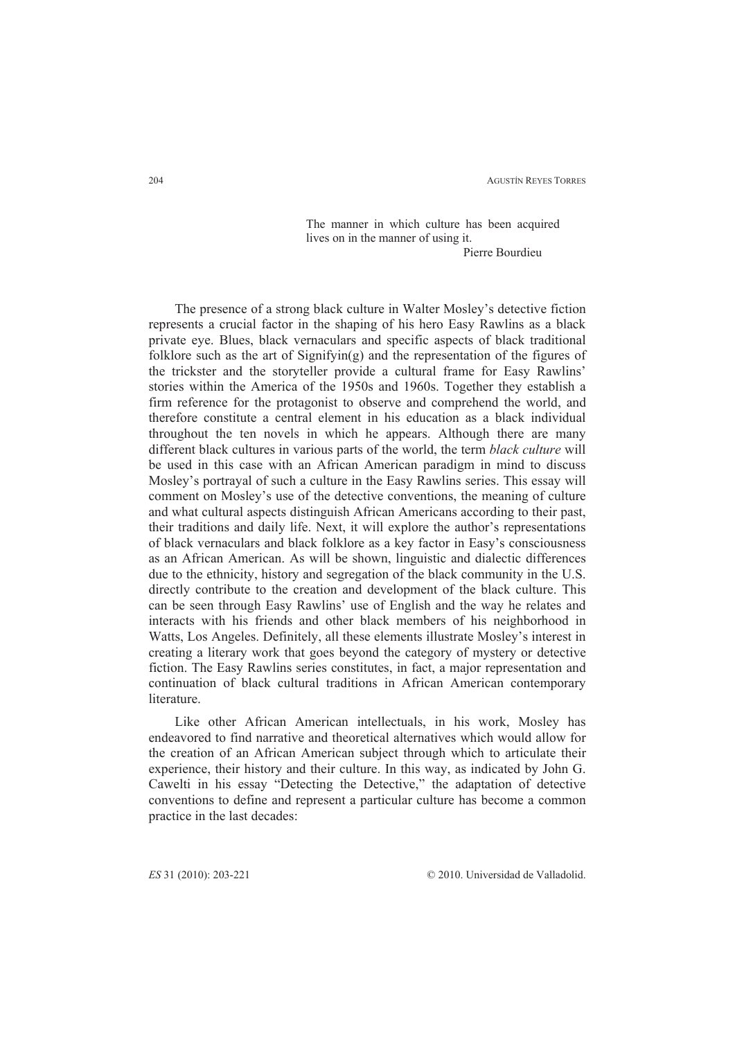The manner in which culture has been acquired lives on in the manner of using it. Pierre Bourdieu

The presence of a strong black culture in Walter Mosley's detective fiction represents a crucial factor in the shaping of his hero Easy Rawlins as a black private eye. Blues, black vernaculars and specific aspects of black traditional folklore such as the art of  $Signifying)$  and the representation of the figures of the trickster and the storyteller provide a cultural frame for Easy Rawlins' stories within the America of the 1950s and 1960s. Together they establish a firm reference for the protagonist to observe and comprehend the world, and therefore constitute a central element in his education as a black individual throughout the ten novels in which he appears. Although there are many different black cultures in various parts of the world, the term *black culture* will be used in this case with an African American paradigm in mind to discuss Mosley's portrayal of such a culture in the Easy Rawlins series. This essay will comment on Mosley's use of the detective conventions, the meaning of culture and what cultural aspects distinguish African Americans according to their past, their traditions and daily life. Next, it will explore the author's representations of black vernaculars and black folklore as a key factor in Easy's consciousness as an African American. As will be shown, linguistic and dialectic differences due to the ethnicity, history and segregation of the black community in the U.S. directly contribute to the creation and development of the black culture. This can be seen through Easy Rawlins' use of English and the way he relates and interacts with his friends and other black members of his neighborhood in Watts, Los Angeles. Definitely, all these elements illustrate Mosley's interest in creating a literary work that goes beyond the category of mystery or detective fiction. The Easy Rawlins series constitutes, in fact, a major representation and continuation of black cultural traditions in African American contemporary **literature** 

Like other African American intellectuals, in his work, Mosley has endeavored to find narrative and theoretical alternatives which would allow for the creation of an African American subject through which to articulate their experience, their history and their culture. In this way, as indicated by John G. Cawelti in his essay "Detecting the Detective," the adaptation of detective conventions to define and represent a particular culture has become a common practice in the last decades: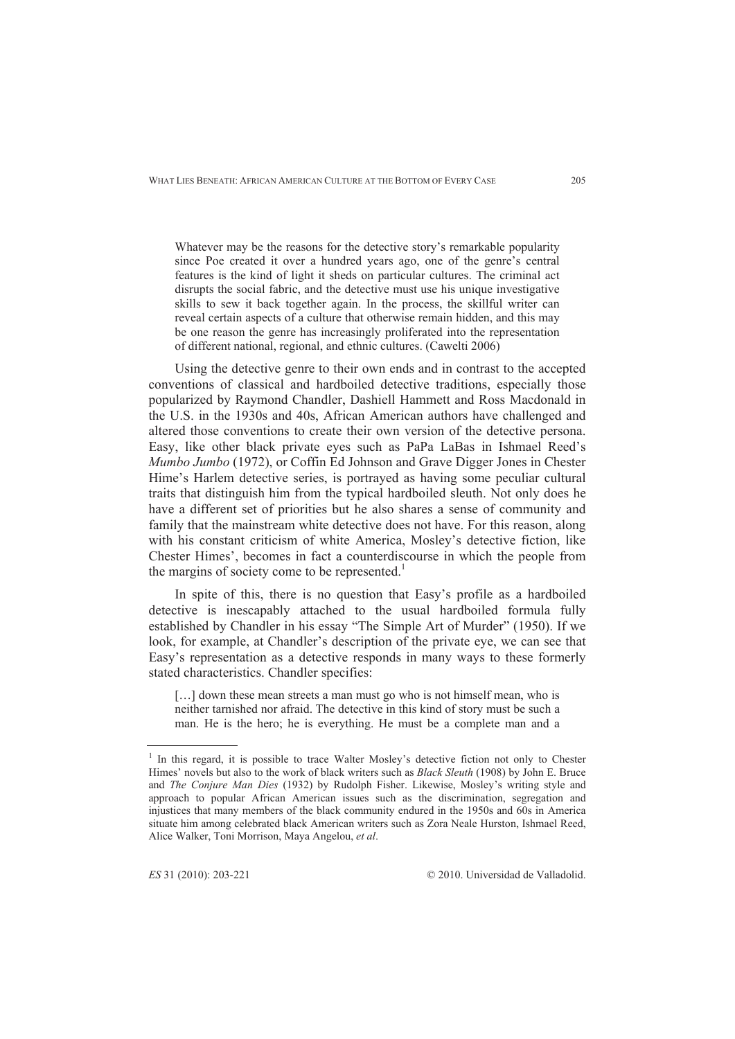Whatever may be the reasons for the detective story's remarkable popularity since Poe created it over a hundred years ago, one of the genre's central features is the kind of light it sheds on particular cultures. The criminal act disrupts the social fabric, and the detective must use his unique investigative skills to sew it back together again. In the process, the skillful writer can reveal certain aspects of a culture that otherwise remain hidden, and this may be one reason the genre has increasingly proliferated into the representation of different national, regional, and ethnic cultures. (Cawelti 2006)

Using the detective genre to their own ends and in contrast to the accepted conventions of classical and hardboiled detective traditions, especially those popularized by Raymond Chandler, Dashiell Hammett and Ross Macdonald in the U.S. in the 1930s and 40s, African American authors have challenged and altered those conventions to create their own version of the detective persona. Easy, like other black private eyes such as PaPa LaBas in Ishmael Reed's *Mumbo Jumbo* (1972), or Coffin Ed Johnson and Grave Digger Jones in Chester Hime's Harlem detective series, is portrayed as having some peculiar cultural traits that distinguish him from the typical hardboiled sleuth. Not only does he have a different set of priorities but he also shares a sense of community and family that the mainstream white detective does not have. For this reason, along with his constant criticism of white America, Mosley's detective fiction, like Chester Himes', becomes in fact a counterdiscourse in which the people from the margins of society come to be represented.<sup>1</sup>

In spite of this, there is no question that Easy's profile as a hardboiled detective is inescapably attached to the usual hardboiled formula fully established by Chandler in his essay "The Simple Art of Murder" (1950). If we look, for example, at Chandler's description of the private eye, we can see that Easy's representation as a detective responds in many ways to these formerly stated characteristics. Chandler specifies:

[...] down these mean streets a man must go who is not himself mean, who is neither tarnished nor afraid. The detective in this kind of story must be such a man. He is the hero; he is everything. He must be a complete man and a

<sup>&</sup>lt;sup>1</sup> In this regard, it is possible to trace Walter Mosley's detective fiction not only to Chester Himes' novels but also to the work of black writers such as *Black Sleuth* (1908) by John E. Bruce and *The Conjure Man Dies* (1932) by Rudolph Fisher. Likewise, Mosley's writing style and approach to popular African American issues such as the discrimination, segregation and injustices that many members of the black community endured in the 1950s and 60s in America situate him among celebrated black American writers such as Zora Neale Hurston, Ishmael Reed, Alice Walker, Toni Morrison, Maya Angelou, *et al*.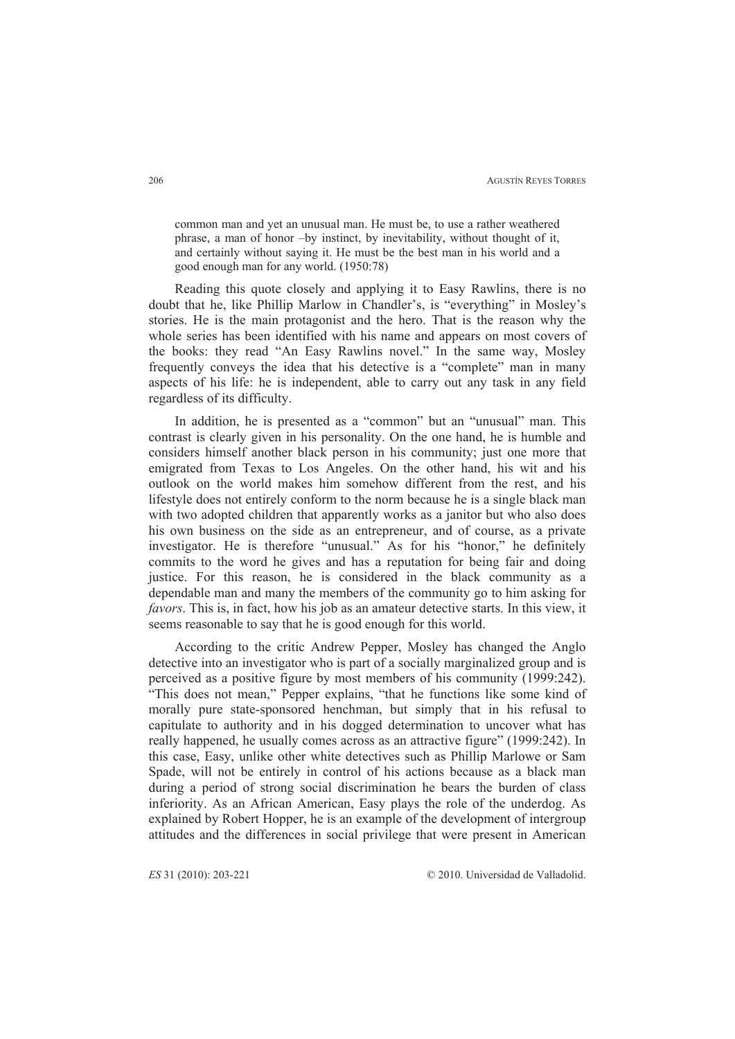common man and yet an unusual man. He must be, to use a rather weathered phrase, a man of honor –by instinct, by inevitability, without thought of it, and certainly without saying it. He must be the best man in his world and a good enough man for any world. (1950:78)

Reading this quote closely and applying it to Easy Rawlins, there is no doubt that he, like Phillip Marlow in Chandler's, is "everything" in Mosley's stories. He is the main protagonist and the hero. That is the reason why the whole series has been identified with his name and appears on most covers of the books: they read "An Easy Rawlins novel." In the same way, Mosley frequently conveys the idea that his detective is a "complete" man in many aspects of his life: he is independent, able to carry out any task in any field regardless of its difficulty.

In addition, he is presented as a "common" but an "unusual" man. This contrast is clearly given in his personality. On the one hand, he is humble and considers himself another black person in his community; just one more that emigrated from Texas to Los Angeles. On the other hand, his wit and his outlook on the world makes him somehow different from the rest, and his lifestyle does not entirely conform to the norm because he is a single black man with two adopted children that apparently works as a janitor but who also does his own business on the side as an entrepreneur, and of course, as a private investigator. He is therefore "unusual." As for his "honor," he definitely commits to the word he gives and has a reputation for being fair and doing justice. For this reason, he is considered in the black community as a dependable man and many the members of the community go to him asking for *favors*. This is, in fact, how his job as an amateur detective starts. In this view, it seems reasonable to say that he is good enough for this world.

According to the critic Andrew Pepper, Mosley has changed the Anglo detective into an investigator who is part of a socially marginalized group and is perceived as a positive figure by most members of his community (1999:242). "This does not mean," Pepper explains, "that he functions like some kind of morally pure state-sponsored henchman, but simply that in his refusal to capitulate to authority and in his dogged determination to uncover what has really happened, he usually comes across as an attractive figure" (1999:242). In this case, Easy, unlike other white detectives such as Phillip Marlowe or Sam Spade, will not be entirely in control of his actions because as a black man during a period of strong social discrimination he bears the burden of class inferiority. As an African American, Easy plays the role of the underdog. As explained by Robert Hopper, he is an example of the development of intergroup attitudes and the differences in social privilege that were present in American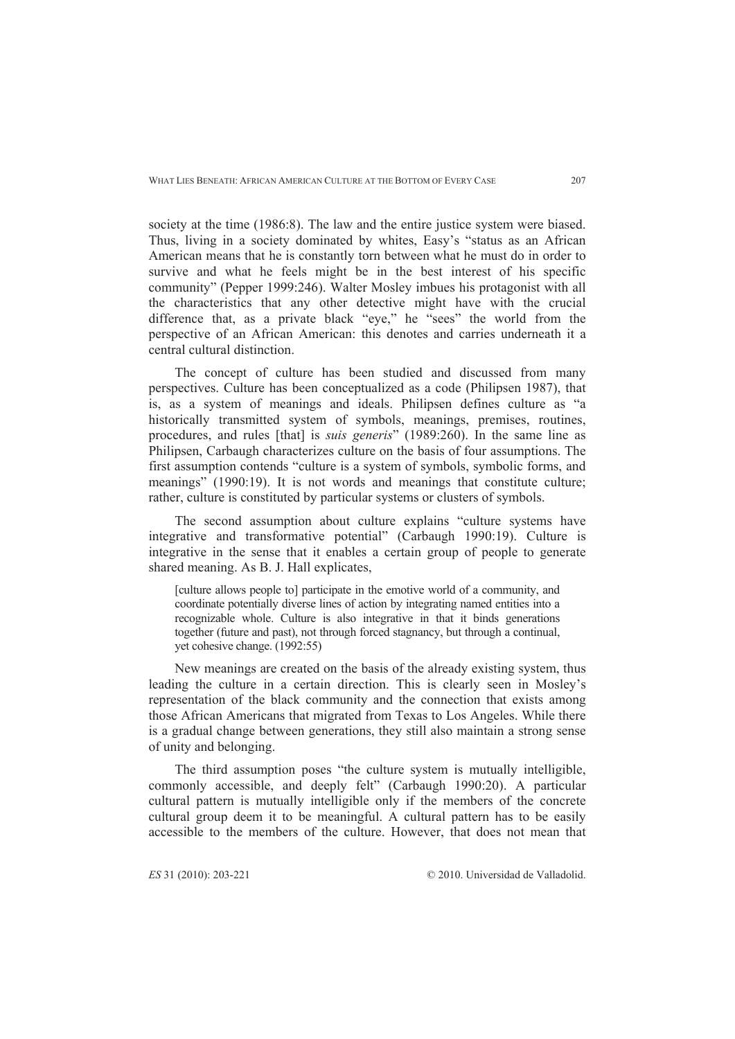society at the time (1986:8). The law and the entire justice system were biased. Thus, living in a society dominated by whites, Easy's "status as an African American means that he is constantly torn between what he must do in order to survive and what he feels might be in the best interest of his specific community" (Pepper 1999:246). Walter Mosley imbues his protagonist with all the characteristics that any other detective might have with the crucial difference that, as a private black "eye," he "sees" the world from the perspective of an African American: this denotes and carries underneath it a central cultural distinction.

The concept of culture has been studied and discussed from many perspectives. Culture has been conceptualized as a code (Philipsen 1987), that is, as a system of meanings and ideals. Philipsen defines culture as "a historically transmitted system of symbols, meanings, premises, routines, procedures, and rules [that] is *suis generis*" (1989:260). In the same line as Philipsen, Carbaugh characterizes culture on the basis of four assumptions. The first assumption contends "culture is a system of symbols, symbolic forms, and meanings" (1990:19). It is not words and meanings that constitute culture; rather, culture is constituted by particular systems or clusters of symbols.

The second assumption about culture explains "culture systems have integrative and transformative potential" (Carbaugh 1990:19). Culture is integrative in the sense that it enables a certain group of people to generate shared meaning. As B. J. Hall explicates,

[culture allows people to] participate in the emotive world of a community, and coordinate potentially diverse lines of action by integrating named entities into a recognizable whole. Culture is also integrative in that it binds generations together (future and past), not through forced stagnancy, but through a continual, yet cohesive change. (1992:55)

New meanings are created on the basis of the already existing system, thus leading the culture in a certain direction. This is clearly seen in Mosley's representation of the black community and the connection that exists among those African Americans that migrated from Texas to Los Angeles. While there is a gradual change between generations, they still also maintain a strong sense of unity and belonging.

The third assumption poses "the culture system is mutually intelligible, commonly accessible, and deeply felt" (Carbaugh 1990:20). A particular cultural pattern is mutually intelligible only if the members of the concrete cultural group deem it to be meaningful. A cultural pattern has to be easily accessible to the members of the culture. However, that does not mean that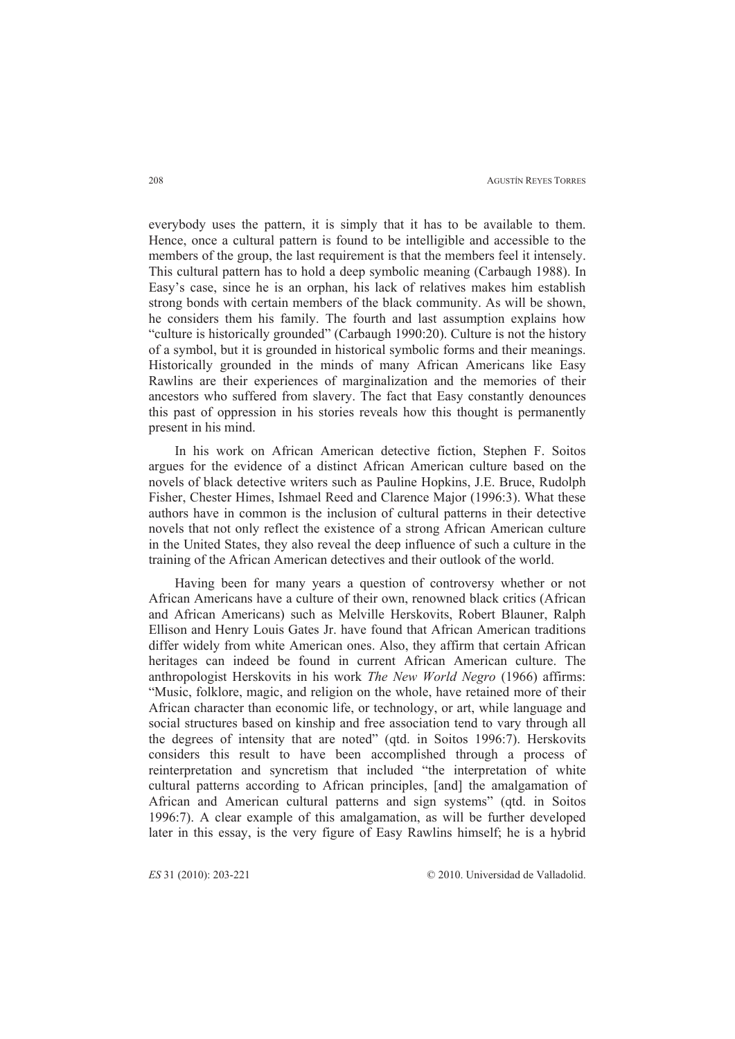everybody uses the pattern, it is simply that it has to be available to them. Hence, once a cultural pattern is found to be intelligible and accessible to the members of the group, the last requirement is that the members feel it intensely. This cultural pattern has to hold a deep symbolic meaning (Carbaugh 1988). In Easy's case, since he is an orphan, his lack of relatives makes him establish strong bonds with certain members of the black community. As will be shown, he considers them his family. The fourth and last assumption explains how "culture is historically grounded" (Carbaugh 1990:20). Culture is not the history of a symbol, but it is grounded in historical symbolic forms and their meanings. Historically grounded in the minds of many African Americans like Easy Rawlins are their experiences of marginalization and the memories of their ancestors who suffered from slavery. The fact that Easy constantly denounces this past of oppression in his stories reveals how this thought is permanently present in his mind.

In his work on African American detective fiction, Stephen F. Soitos argues for the evidence of a distinct African American culture based on the novels of black detective writers such as Pauline Hopkins, J.E. Bruce, Rudolph Fisher, Chester Himes, Ishmael Reed and Clarence Major (1996:3). What these authors have in common is the inclusion of cultural patterns in their detective novels that not only reflect the existence of a strong African American culture in the United States, they also reveal the deep influence of such a culture in the training of the African American detectives and their outlook of the world.

Having been for many years a question of controversy whether or not African Americans have a culture of their own, renowned black critics (African and African Americans) such as Melville Herskovits, Robert Blauner, Ralph Ellison and Henry Louis Gates Jr. have found that African American traditions differ widely from white American ones. Also, they affirm that certain African heritages can indeed be found in current African American culture. The anthropologist Herskovits in his work *The New World Negro* (1966) affirms: "Music, folklore, magic, and religion on the whole, have retained more of their African character than economic life, or technology, or art, while language and social structures based on kinship and free association tend to vary through all the degrees of intensity that are noted" (qtd. in Soitos 1996:7). Herskovits considers this result to have been accomplished through a process of reinterpretation and syncretism that included "the interpretation of white cultural patterns according to African principles, [and] the amalgamation of African and American cultural patterns and sign systems" (qtd. in Soitos 1996:7). A clear example of this amalgamation, as will be further developed later in this essay, is the very figure of Easy Rawlins himself; he is a hybrid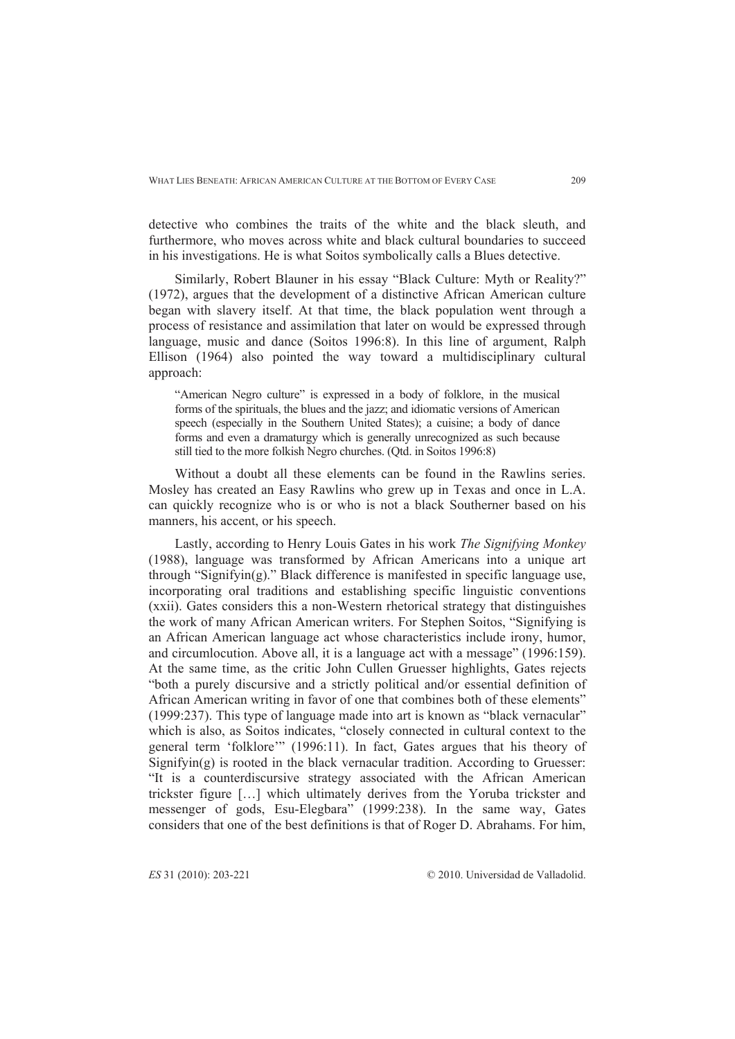detective who combines the traits of the white and the black sleuth, and furthermore, who moves across white and black cultural boundaries to succeed in his investigations. He is what Soitos symbolically calls a Blues detective.

Similarly, Robert Blauner in his essay "Black Culture: Myth or Reality?" (1972), argues that the development of a distinctive African American culture began with slavery itself. At that time, the black population went through a process of resistance and assimilation that later on would be expressed through language, music and dance (Soitos 1996:8). In this line of argument, Ralph Ellison (1964) also pointed the way toward a multidisciplinary cultural approach:

"American Negro culture" is expressed in a body of folklore, in the musical forms of the spirituals, the blues and the jazz; and idiomatic versions of American speech (especially in the Southern United States); a cuisine; a body of dance forms and even a dramaturgy which is generally unrecognized as such because still tied to the more folkish Negro churches. (Qtd. in Soitos 1996:8)

Without a doubt all these elements can be found in the Rawlins series. Mosley has created an Easy Rawlins who grew up in Texas and once in L.A. can quickly recognize who is or who is not a black Southerner based on his manners, his accent, or his speech.

Lastly, according to Henry Louis Gates in his work *The Signifying Monkey*  (1988), language was transformed by African Americans into a unique art through "Signifyin(g)." Black difference is manifested in specific language use, incorporating oral traditions and establishing specific linguistic conventions (xxii). Gates considers this a non-Western rhetorical strategy that distinguishes the work of many African American writers. For Stephen Soitos, "Signifying is an African American language act whose characteristics include irony, humor, and circumlocution. Above all, it is a language act with a message" (1996:159). At the same time, as the critic John Cullen Gruesser highlights, Gates rejects "both a purely discursive and a strictly political and/or essential definition of African American writing in favor of one that combines both of these elements" (1999:237). This type of language made into art is known as "black vernacular" which is also, as Soitos indicates, "closely connected in cultural context to the general term 'folklore'" (1996:11). In fact, Gates argues that his theory of  $Signifying)$  is rooted in the black vernacular tradition. According to Gruesser: "It is a counterdiscursive strategy associated with the African American trickster figure […] which ultimately derives from the Yoruba trickster and messenger of gods, Esu-Elegbara" (1999:238). In the same way, Gates considers that one of the best definitions is that of Roger D. Abrahams. For him,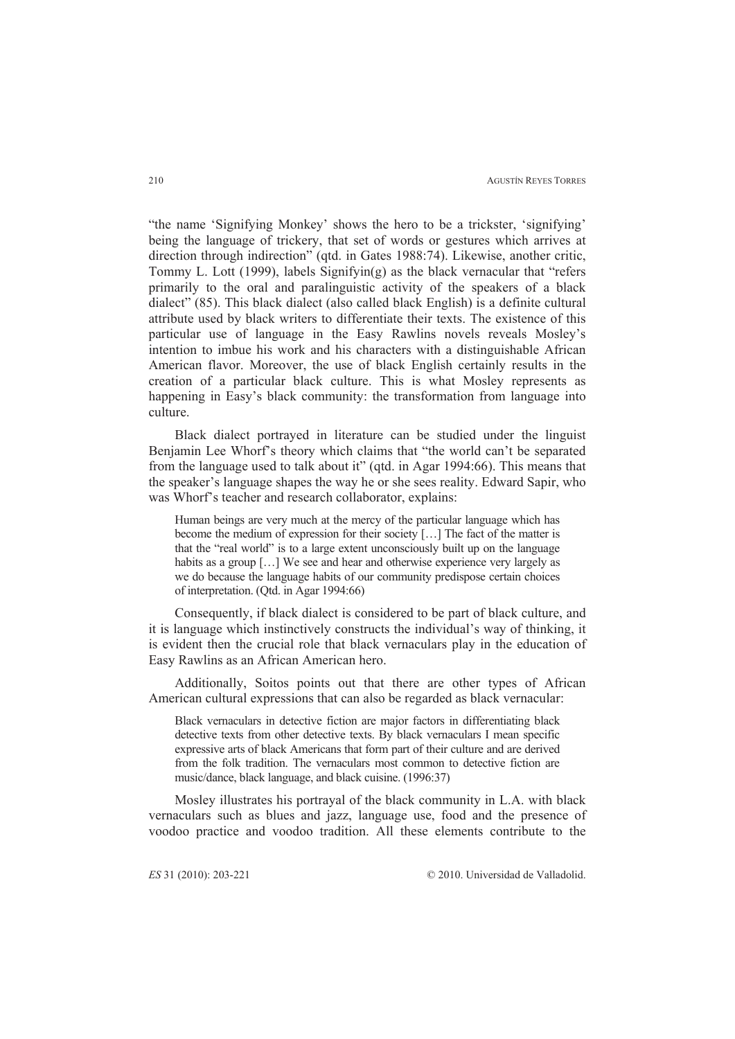"the name 'Signifying Monkey' shows the hero to be a trickster, 'signifying' being the language of trickery, that set of words or gestures which arrives at direction through indirection" (qtd. in Gates 1988:74). Likewise, another critic, Tommy L. Lott (1999), labels  $Signifying)$  as the black vernacular that "refers" primarily to the oral and paralinguistic activity of the speakers of a black dialect" (85). This black dialect (also called black English) is a definite cultural attribute used by black writers to differentiate their texts. The existence of this particular use of language in the Easy Rawlins novels reveals Mosley's intention to imbue his work and his characters with a distinguishable African American flavor. Moreover, the use of black English certainly results in the creation of a particular black culture. This is what Mosley represents as happening in Easy's black community: the transformation from language into culture.

Black dialect portrayed in literature can be studied under the linguist Benjamin Lee Whorf's theory which claims that "the world can't be separated from the language used to talk about it" (qtd. in Agar 1994:66). This means that the speaker's language shapes the way he or she sees reality. Edward Sapir, who was Whorf's teacher and research collaborator, explains:

Human beings are very much at the mercy of the particular language which has become the medium of expression for their society […] The fact of the matter is that the "real world" is to a large extent unconsciously built up on the language habits as a group [...] We see and hear and otherwise experience very largely as we do because the language habits of our community predispose certain choices of interpretation. (Qtd. in Agar 1994:66)

Consequently, if black dialect is considered to be part of black culture, and it is language which instinctively constructs the individual's way of thinking, it is evident then the crucial role that black vernaculars play in the education of Easy Rawlins as an African American hero.

Additionally, Soitos points out that there are other types of African American cultural expressions that can also be regarded as black vernacular:

Black vernaculars in detective fiction are major factors in differentiating black detective texts from other detective texts. By black vernaculars I mean specific expressive arts of black Americans that form part of their culture and are derived from the folk tradition. The vernaculars most common to detective fiction are music/dance, black language, and black cuisine. (1996:37)

Mosley illustrates his portrayal of the black community in L.A. with black vernaculars such as blues and jazz, language use, food and the presence of voodoo practice and voodoo tradition. All these elements contribute to the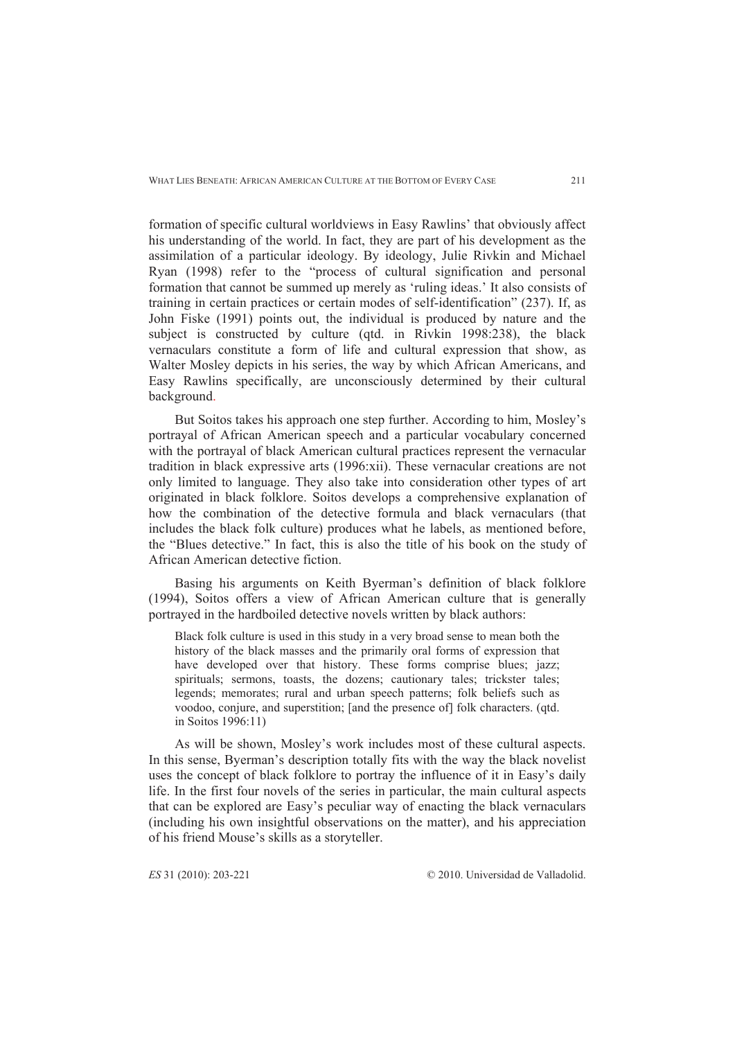formation of specific cultural worldviews in Easy Rawlins' that obviously affect his understanding of the world. In fact, they are part of his development as the assimilation of a particular ideology. By ideology, Julie Rivkin and Michael Ryan (1998) refer to the "process of cultural signification and personal formation that cannot be summed up merely as 'ruling ideas.' It also consists of training in certain practices or certain modes of self-identification" (237). If, as John Fiske (1991) points out, the individual is produced by nature and the subject is constructed by culture (qtd. in Rivkin 1998:238), the black vernaculars constitute a form of life and cultural expression that show, as Walter Mosley depicts in his series, the way by which African Americans, and Easy Rawlins specifically, are unconsciously determined by their cultural background.

But Soitos takes his approach one step further. According to him, Mosley's portrayal of African American speech and a particular vocabulary concerned with the portrayal of black American cultural practices represent the vernacular tradition in black expressive arts (1996:xii). These vernacular creations are not only limited to language. They also take into consideration other types of art originated in black folklore. Soitos develops a comprehensive explanation of how the combination of the detective formula and black vernaculars (that includes the black folk culture) produces what he labels, as mentioned before, the "Blues detective." In fact, this is also the title of his book on the study of African American detective fiction.

Basing his arguments on Keith Byerman's definition of black folklore (1994), Soitos offers a view of African American culture that is generally portrayed in the hardboiled detective novels written by black authors:

Black folk culture is used in this study in a very broad sense to mean both the history of the black masses and the primarily oral forms of expression that have developed over that history. These forms comprise blues; jazz; spirituals; sermons, toasts, the dozens; cautionary tales; trickster tales; legends; memorates; rural and urban speech patterns; folk beliefs such as voodoo, conjure, and superstition; [and the presence of] folk characters. (qtd. in Soitos 1996:11)

As will be shown, Mosley's work includes most of these cultural aspects. In this sense, Byerman's description totally fits with the way the black novelist uses the concept of black folklore to portray the influence of it in Easy's daily life. In the first four novels of the series in particular, the main cultural aspects that can be explored are Easy's peculiar way of enacting the black vernaculars (including his own insightful observations on the matter), and his appreciation of his friend Mouse's skills as a storyteller.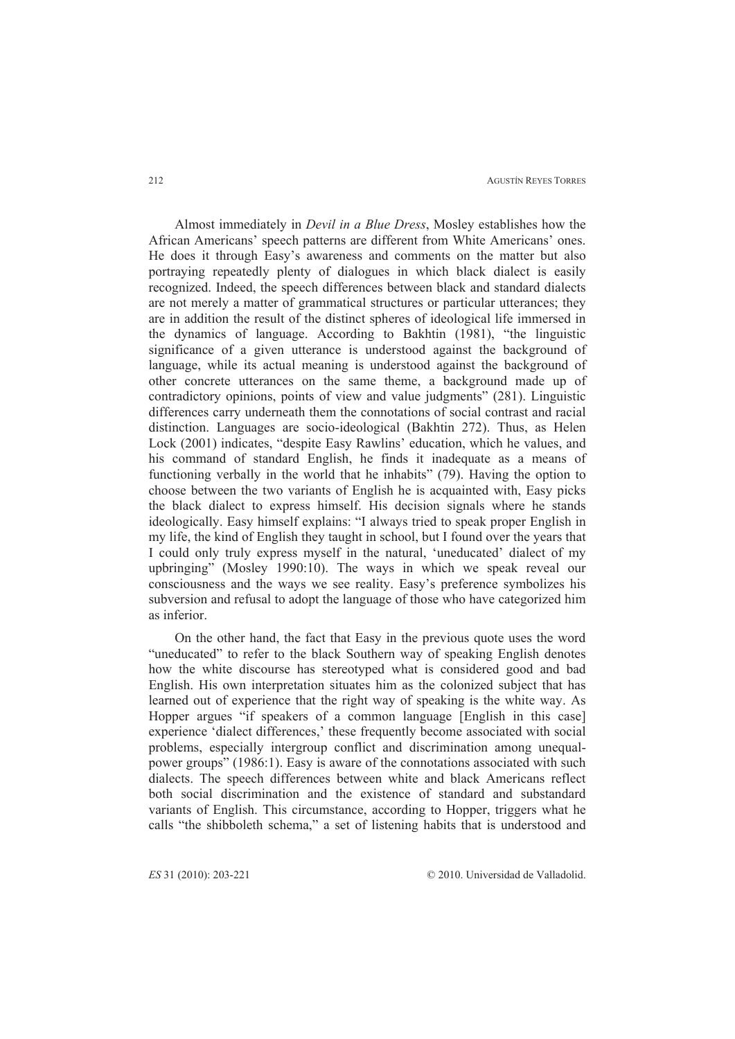AGUSTÍN REYES TORRES

Almost immediately in *Devil in a Blue Dress*, Mosley establishes how the African Americans' speech patterns are different from White Americans' ones. He does it through Easy's awareness and comments on the matter but also portraying repeatedly plenty of dialogues in which black dialect is easily recognized. Indeed, the speech differences between black and standard dialects are not merely a matter of grammatical structures or particular utterances; they are in addition the result of the distinct spheres of ideological life immersed in the dynamics of language. According to Bakhtin (1981), "the linguistic significance of a given utterance is understood against the background of language, while its actual meaning is understood against the background of other concrete utterances on the same theme, a background made up of contradictory opinions, points of view and value judgments" (281). Linguistic differences carry underneath them the connotations of social contrast and racial distinction. Languages are socio-ideological (Bakhtin 272). Thus, as Helen Lock (2001) indicates, "despite Easy Rawlins' education, which he values, and his command of standard English, he finds it inadequate as a means of functioning verbally in the world that he inhabits" (79). Having the option to choose between the two variants of English he is acquainted with, Easy picks the black dialect to express himself. His decision signals where he stands ideologically. Easy himself explains: "I always tried to speak proper English in my life, the kind of English they taught in school, but I found over the years that I could only truly express myself in the natural, 'uneducated' dialect of my upbringing" (Mosley 1990:10). The ways in which we speak reveal our consciousness and the ways we see reality. Easy's preference symbolizes his subversion and refusal to adopt the language of those who have categorized him as inferior.

On the other hand, the fact that Easy in the previous quote uses the word "uneducated" to refer to the black Southern way of speaking English denotes how the white discourse has stereotyped what is considered good and bad English. His own interpretation situates him as the colonized subject that has learned out of experience that the right way of speaking is the white way. As Hopper argues "if speakers of a common language [English in this case] experience 'dialect differences,' these frequently become associated with social problems, especially intergroup conflict and discrimination among unequalpower groups" (1986:1). Easy is aware of the connotations associated with such dialects. The speech differences between white and black Americans reflect both social discrimination and the existence of standard and substandard variants of English. This circumstance, according to Hopper, triggers what he calls "the shibboleth schema," a set of listening habits that is understood and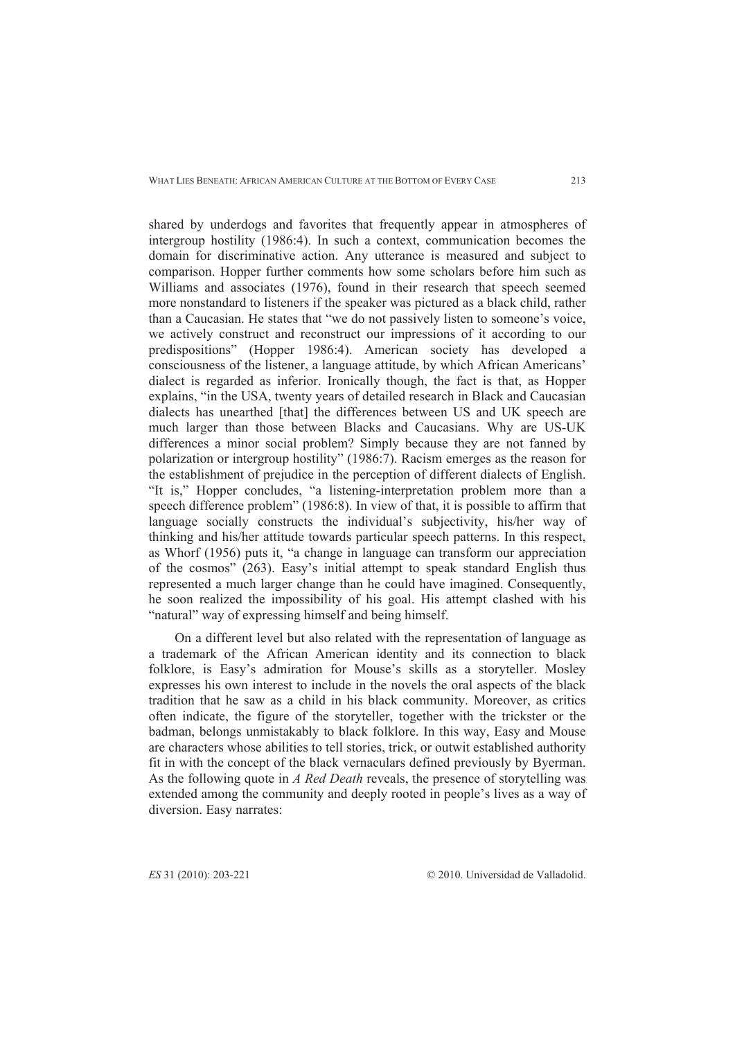shared by underdogs and favorites that frequently appear in atmospheres of intergroup hostility (1986:4). In such a context, communication becomes the domain for discriminative action. Any utterance is measured and subject to comparison. Hopper further comments how some scholars before him such as Williams and associates (1976), found in their research that speech seemed more nonstandard to listeners if the speaker was pictured as a black child, rather than a Caucasian. He states that "we do not passively listen to someone's voice, we actively construct and reconstruct our impressions of it according to our predispositions" (Hopper 1986:4). American society has developed a consciousness of the listener, a language attitude, by which African Americans' dialect is regarded as inferior. Ironically though, the fact is that, as Hopper explains, "in the USA, twenty years of detailed research in Black and Caucasian dialects has unearthed [that] the differences between US and UK speech are much larger than those between Blacks and Caucasians. Why are US-UK differences a minor social problem? Simply because they are not fanned by polarization or intergroup hostility" (1986:7). Racism emerges as the reason for the establishment of prejudice in the perception of different dialects of English. "It is," Hopper concludes, "a listening-interpretation problem more than a speech difference problem" (1986:8). In view of that, it is possible to affirm that language socially constructs the individual's subjectivity, his/her way of thinking and his/her attitude towards particular speech patterns. In this respect, as Whorf (1956) puts it, "a change in language can transform our appreciation of the cosmos" (263). Easy's initial attempt to speak standard English thus represented a much larger change than he could have imagined. Consequently, he soon realized the impossibility of his goal. His attempt clashed with his "natural" way of expressing himself and being himself.

On a different level but also related with the representation of language as a trademark of the African American identity and its connection to black folklore, is Easy's admiration for Mouse's skills as a storyteller. Mosley expresses his own interest to include in the novels the oral aspects of the black tradition that he saw as a child in his black community. Moreover, as critics often indicate, the figure of the storyteller, together with the trickster or the badman, belongs unmistakably to black folklore. In this way, Easy and Mouse are characters whose abilities to tell stories, trick, or outwit established authority fit in with the concept of the black vernaculars defined previously by Byerman. As the following quote in *A Red Death* reveals, the presence of storytelling was extended among the community and deeply rooted in people's lives as a way of diversion. Easy narrates: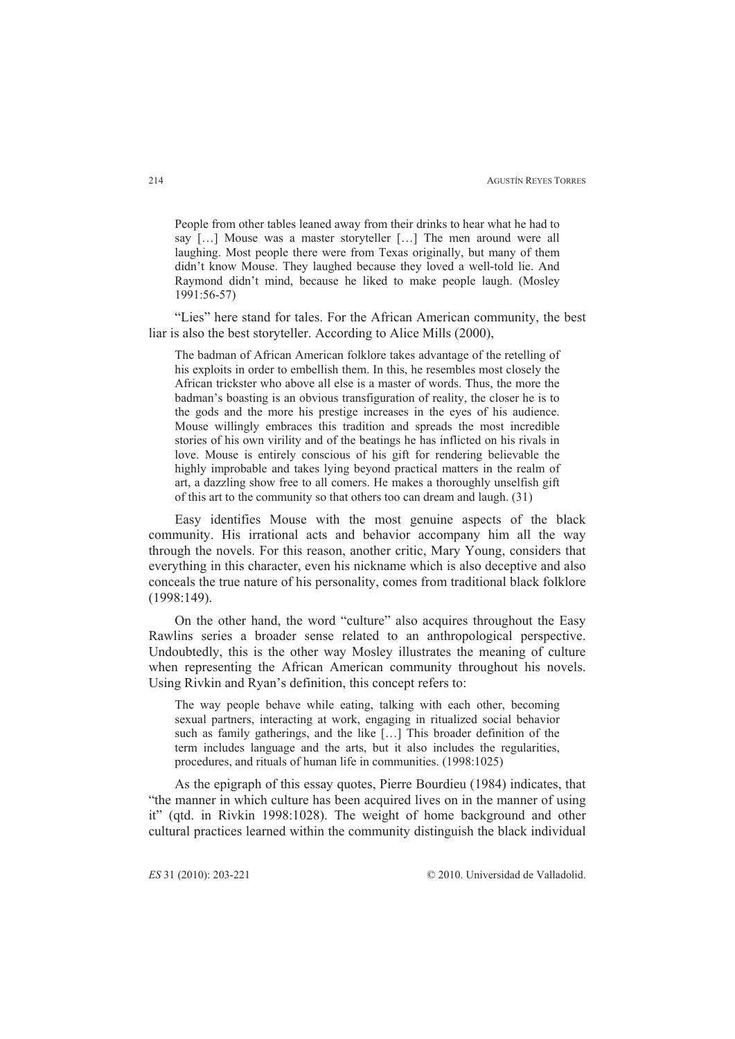People from other tables leaned away from their drinks to hear what he had to say […] Mouse was a master storyteller […] The men around were all laughing. Most people there were from Texas originally, but many of them didn't know Mouse. They laughed because they loved a well-told lie. And Raymond didn't mind, because he liked to make people laugh. (Mosley 1991:56-57)

"Lies" here stand for tales. For the African American community, the best liar is also the best storyteller. According to Alice Mills (2000),

The badman of African American folklore takes advantage of the retelling of his exploits in order to embellish them. In this, he resembles most closely the African trickster who above all else is a master of words. Thus, the more the badman's boasting is an obvious transfiguration of reality, the closer he is to the gods and the more his prestige increases in the eyes of his audience. Mouse willingly embraces this tradition and spreads the most incredible stories of his own virility and of the beatings he has inflicted on his rivals in love. Mouse is entirely conscious of his gift for rendering believable the highly improbable and takes lying beyond practical matters in the realm of art, a dazzling show free to all comers. He makes a thoroughly unselfish gift of this art to the community so that others too can dream and laugh. (31)

Easy identifies Mouse with the most genuine aspects of the black community. His irrational acts and behavior accompany him all the way through the novels. For this reason, another critic, Mary Young, considers that everything in this character, even his nickname which is also deceptive and also conceals the true nature of his personality, comes from traditional black folklore (1998:149).

On the other hand, the word "culture" also acquires throughout the Easy Rawlins series a broader sense related to an anthropological perspective. Undoubtedly, this is the other way Mosley illustrates the meaning of culture when representing the African American community throughout his novels. Using Rivkin and Ryan's definition, this concept refers to:

The way people behave while eating, talking with each other, becoming sexual partners, interacting at work, engaging in ritualized social behavior such as family gatherings, and the like […] This broader definition of the term includes language and the arts, but it also includes the regularities, procedures, and rituals of human life in communities. (1998:1025)

As the epigraph of this essay quotes, Pierre Bourdieu (1984) indicates, that "the manner in which culture has been acquired lives on in the manner of using it" (qtd. in Rivkin 1998:1028). The weight of home background and other cultural practices learned within the community distinguish the black individual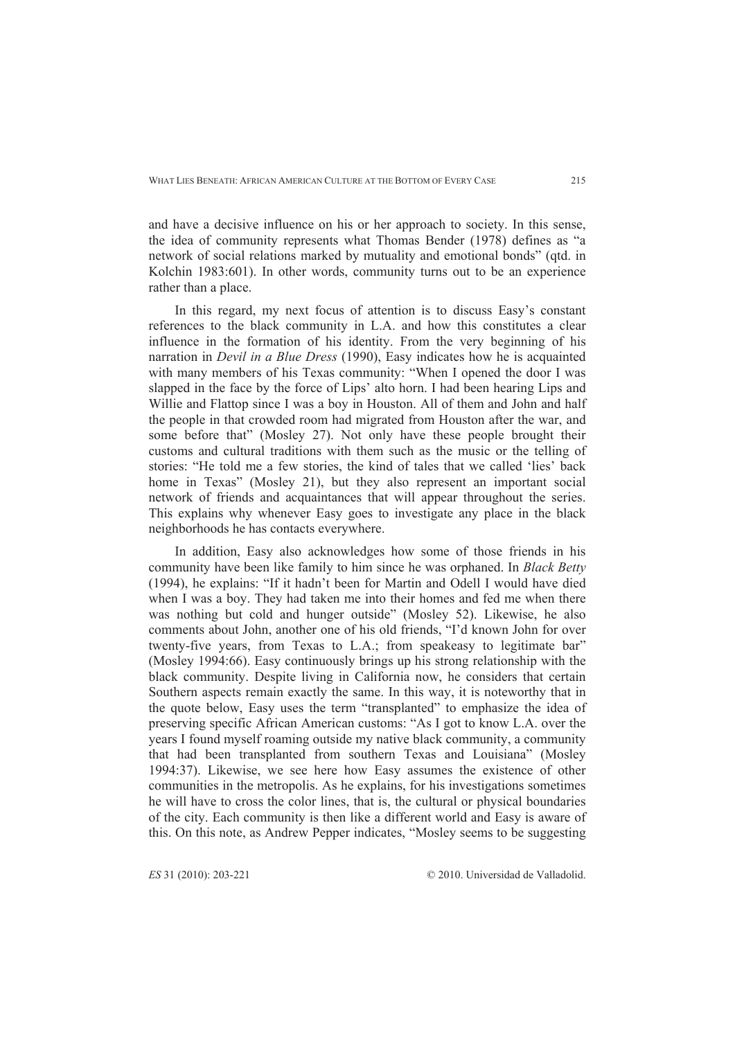and have a decisive influence on his or her approach to society. In this sense, the idea of community represents what Thomas Bender (1978) defines as "a network of social relations marked by mutuality and emotional bonds" (qtd. in Kolchin 1983:601). In other words, community turns out to be an experience rather than a place.

In this regard, my next focus of attention is to discuss Easy's constant references to the black community in L.A. and how this constitutes a clear influence in the formation of his identity. From the very beginning of his narration in *Devil in a Blue Dress* (1990), Easy indicates how he is acquainted with many members of his Texas community: "When I opened the door I was slapped in the face by the force of Lips' alto horn. I had been hearing Lips and Willie and Flattop since I was a boy in Houston. All of them and John and half the people in that crowded room had migrated from Houston after the war, and some before that" (Mosley 27). Not only have these people brought their customs and cultural traditions with them such as the music or the telling of stories: "He told me a few stories, the kind of tales that we called 'lies' back home in Texas" (Mosley 21), but they also represent an important social network of friends and acquaintances that will appear throughout the series. This explains why whenever Easy goes to investigate any place in the black neighborhoods he has contacts everywhere.

In addition, Easy also acknowledges how some of those friends in his community have been like family to him since he was orphaned. In *Black Betty*  (1994), he explains: "If it hadn't been for Martin and Odell I would have died when I was a boy. They had taken me into their homes and fed me when there was nothing but cold and hunger outside" (Mosley 52). Likewise, he also comments about John, another one of his old friends, "I'd known John for over twenty-five years, from Texas to L.A.; from speakeasy to legitimate bar" (Mosley 1994:66). Easy continuously brings up his strong relationship with the black community. Despite living in California now, he considers that certain Southern aspects remain exactly the same. In this way, it is noteworthy that in the quote below, Easy uses the term "transplanted" to emphasize the idea of preserving specific African American customs: "As I got to know L.A. over the years I found myself roaming outside my native black community, a community that had been transplanted from southern Texas and Louisiana" (Mosley 1994:37). Likewise, we see here how Easy assumes the existence of other communities in the metropolis. As he explains, for his investigations sometimes he will have to cross the color lines, that is, the cultural or physical boundaries of the city. Each community is then like a different world and Easy is aware of this. On this note, as Andrew Pepper indicates, "Mosley seems to be suggesting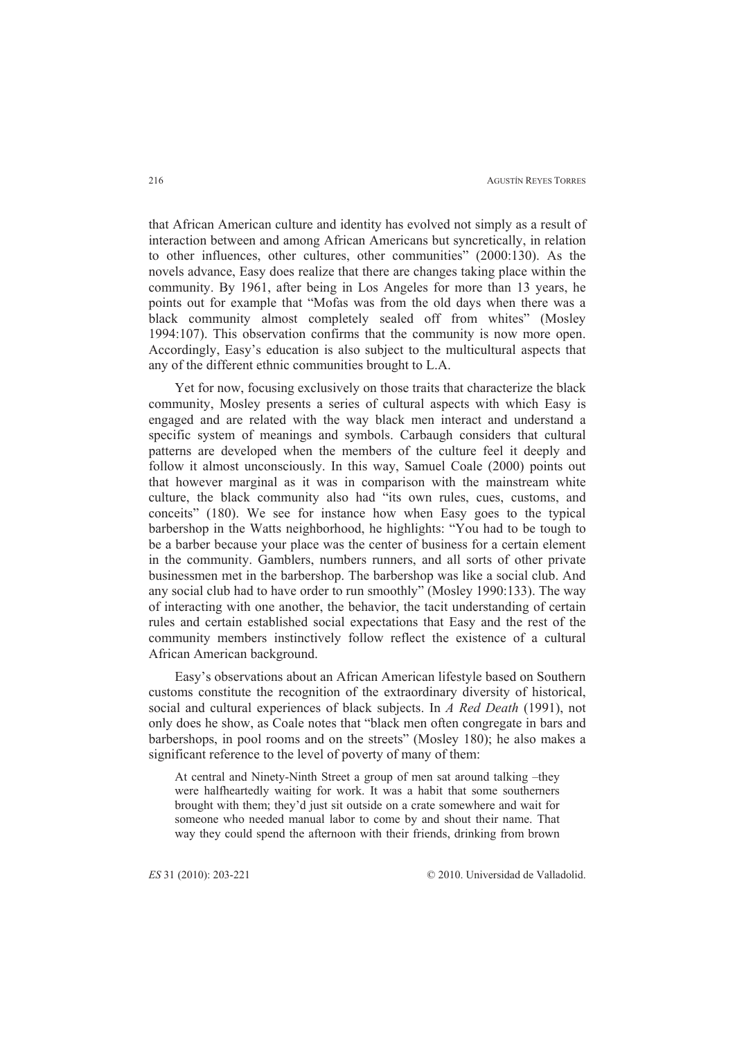that African American culture and identity has evolved not simply as a result of interaction between and among African Americans but syncretically, in relation to other influences, other cultures, other communities" (2000:130). As the novels advance, Easy does realize that there are changes taking place within the community. By 1961, after being in Los Angeles for more than 13 years, he points out for example that "Mofas was from the old days when there was a black community almost completely sealed off from whites" (Mosley 1994:107). This observation confirms that the community is now more open. Accordingly, Easy's education is also subject to the multicultural aspects that any of the different ethnic communities brought to L.A.

Yet for now, focusing exclusively on those traits that characterize the black community, Mosley presents a series of cultural aspects with which Easy is engaged and are related with the way black men interact and understand a specific system of meanings and symbols. Carbaugh considers that cultural patterns are developed when the members of the culture feel it deeply and follow it almost unconsciously. In this way, Samuel Coale (2000) points out that however marginal as it was in comparison with the mainstream white culture, the black community also had "its own rules, cues, customs, and conceits" (180). We see for instance how when Easy goes to the typical barbershop in the Watts neighborhood, he highlights: "You had to be tough to be a barber because your place was the center of business for a certain element in the community. Gamblers, numbers runners, and all sorts of other private businessmen met in the barbershop. The barbershop was like a social club. And any social club had to have order to run smoothly" (Mosley 1990:133). The way of interacting with one another, the behavior, the tacit understanding of certain rules and certain established social expectations that Easy and the rest of the community members instinctively follow reflect the existence of a cultural African American background.

Easy's observations about an African American lifestyle based on Southern customs constitute the recognition of the extraordinary diversity of historical, social and cultural experiences of black subjects. In *A Red Death* (1991), not only does he show, as Coale notes that "black men often congregate in bars and barbershops, in pool rooms and on the streets" (Mosley 180); he also makes a significant reference to the level of poverty of many of them:

At central and Ninety-Ninth Street a group of men sat around talking –they were halfheartedly waiting for work. It was a habit that some southerners brought with them; they'd just sit outside on a crate somewhere and wait for someone who needed manual labor to come by and shout their name. That way they could spend the afternoon with their friends, drinking from brown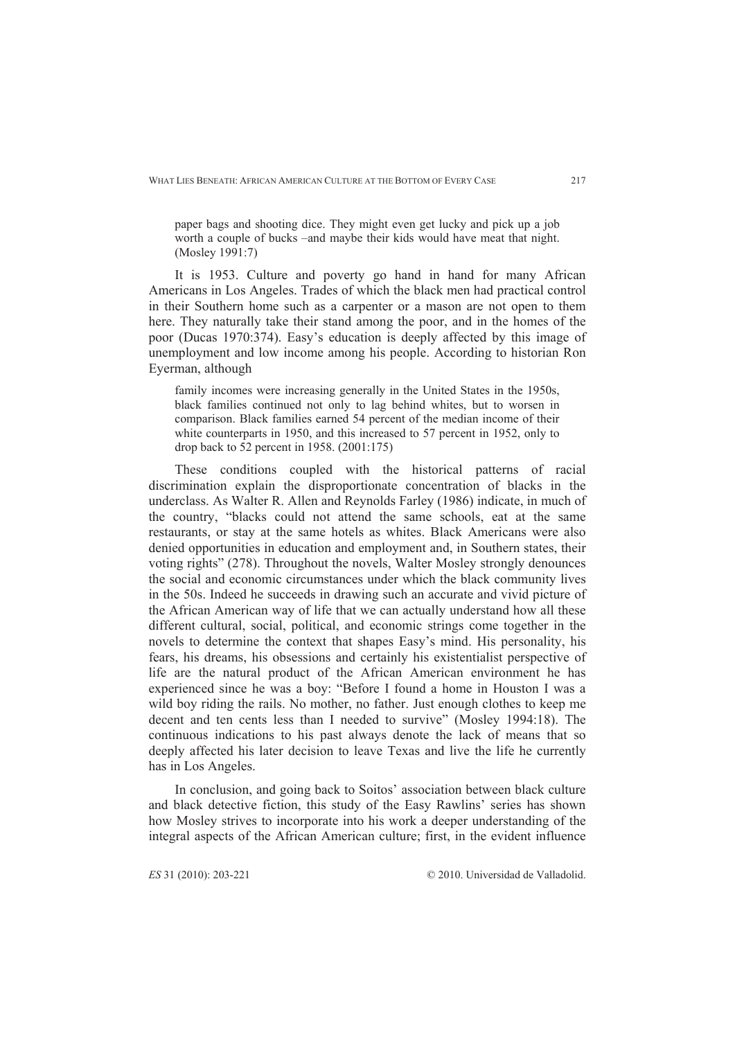paper bags and shooting dice. They might even get lucky and pick up a job worth a couple of bucks –and maybe their kids would have meat that night. (Mosley 1991:7)

It is 1953. Culture and poverty go hand in hand for many African Americans in Los Angeles. Trades of which the black men had practical control in their Southern home such as a carpenter or a mason are not open to them here. They naturally take their stand among the poor, and in the homes of the poor (Ducas 1970:374). Easy's education is deeply affected by this image of unemployment and low income among his people. According to historian Ron Eyerman, although

family incomes were increasing generally in the United States in the 1950s, black families continued not only to lag behind whites, but to worsen in comparison. Black families earned 54 percent of the median income of their white counterparts in 1950, and this increased to 57 percent in 1952, only to drop back to 52 percent in 1958. (2001:175)

These conditions coupled with the historical patterns of racial discrimination explain the disproportionate concentration of blacks in the underclass. As Walter R. Allen and Reynolds Farley (1986) indicate, in much of the country, "blacks could not attend the same schools, eat at the same restaurants, or stay at the same hotels as whites. Black Americans were also denied opportunities in education and employment and, in Southern states, their voting rights" (278). Throughout the novels, Walter Mosley strongly denounces the social and economic circumstances under which the black community lives in the 50s. Indeed he succeeds in drawing such an accurate and vivid picture of the African American way of life that we can actually understand how all these different cultural, social, political, and economic strings come together in the novels to determine the context that shapes Easy's mind. His personality, his fears, his dreams, his obsessions and certainly his existentialist perspective of life are the natural product of the African American environment he has experienced since he was a boy: "Before I found a home in Houston I was a wild boy riding the rails. No mother, no father. Just enough clothes to keep me decent and ten cents less than I needed to survive" (Mosley 1994:18). The continuous indications to his past always denote the lack of means that so deeply affected his later decision to leave Texas and live the life he currently has in Los Angeles.

In conclusion, and going back to Soitos' association between black culture and black detective fiction, this study of the Easy Rawlins' series has shown how Mosley strives to incorporate into his work a deeper understanding of the integral aspects of the African American culture; first, in the evident influence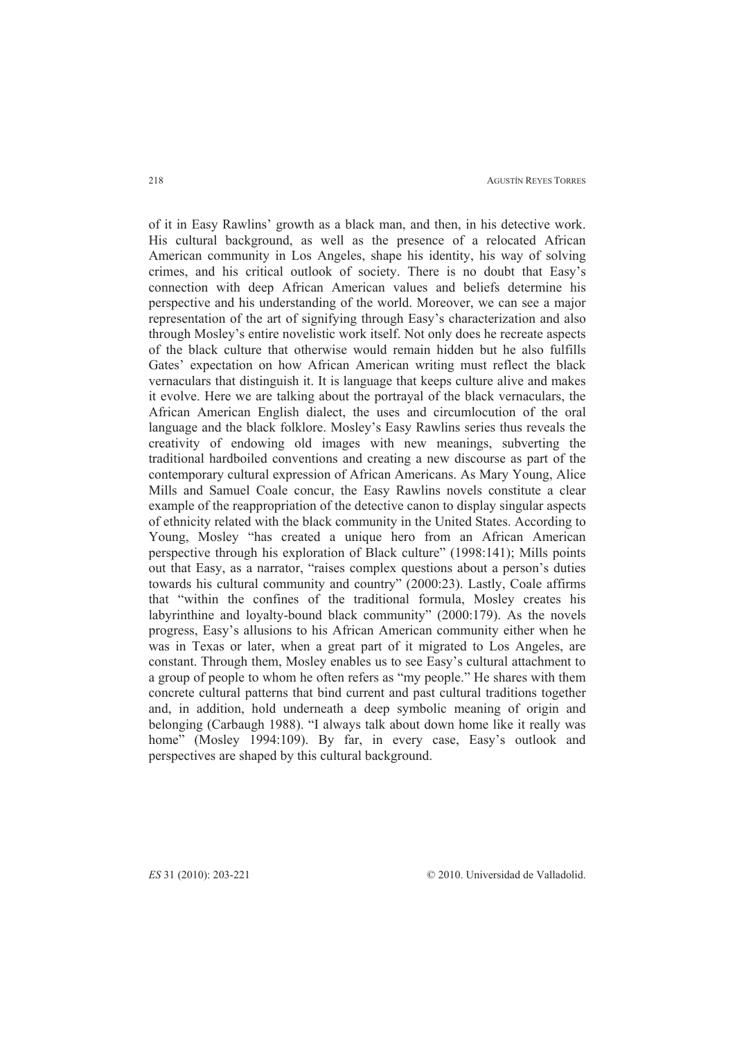AGUSTÍN REYES TORRES

of it in Easy Rawlins' growth as a black man, and then, in his detective work. His cultural background, as well as the presence of a relocated African American community in Los Angeles, shape his identity, his way of solving crimes, and his critical outlook of society. There is no doubt that Easy's connection with deep African American values and beliefs determine his perspective and his understanding of the world. Moreover, we can see a major representation of the art of signifying through Easy's characterization and also through Mosley's entire novelistic work itself. Not only does he recreate aspects of the black culture that otherwise would remain hidden but he also fulfills Gates' expectation on how African American writing must reflect the black vernaculars that distinguish it. It is language that keeps culture alive and makes it evolve. Here we are talking about the portrayal of the black vernaculars, the African American English dialect, the uses and circumlocution of the oral language and the black folklore. Mosley's Easy Rawlins series thus reveals the creativity of endowing old images with new meanings, subverting the traditional hardboiled conventions and creating a new discourse as part of the contemporary cultural expression of African Americans. As Mary Young, Alice Mills and Samuel Coale concur, the Easy Rawlins novels constitute a clear example of the reappropriation of the detective canon to display singular aspects of ethnicity related with the black community in the United States. According to Young, Mosley "has created a unique hero from an African American perspective through his exploration of Black culture" (1998:141); Mills points out that Easy, as a narrator, "raises complex questions about a person's duties towards his cultural community and country" (2000:23). Lastly, Coale affirms that "within the confines of the traditional formula, Mosley creates his labyrinthine and loyalty-bound black community" (2000:179). As the novels progress, Easy's allusions to his African American community either when he was in Texas or later, when a great part of it migrated to Los Angeles, are constant. Through them, Mosley enables us to see Easy's cultural attachment to a group of people to whom he often refers as "my people." He shares with them concrete cultural patterns that bind current and past cultural traditions together and, in addition, hold underneath a deep symbolic meaning of origin and belonging (Carbaugh 1988). "I always talk about down home like it really was home" (Mosley 1994:109). By far, in every case, Easy's outlook and perspectives are shaped by this cultural background.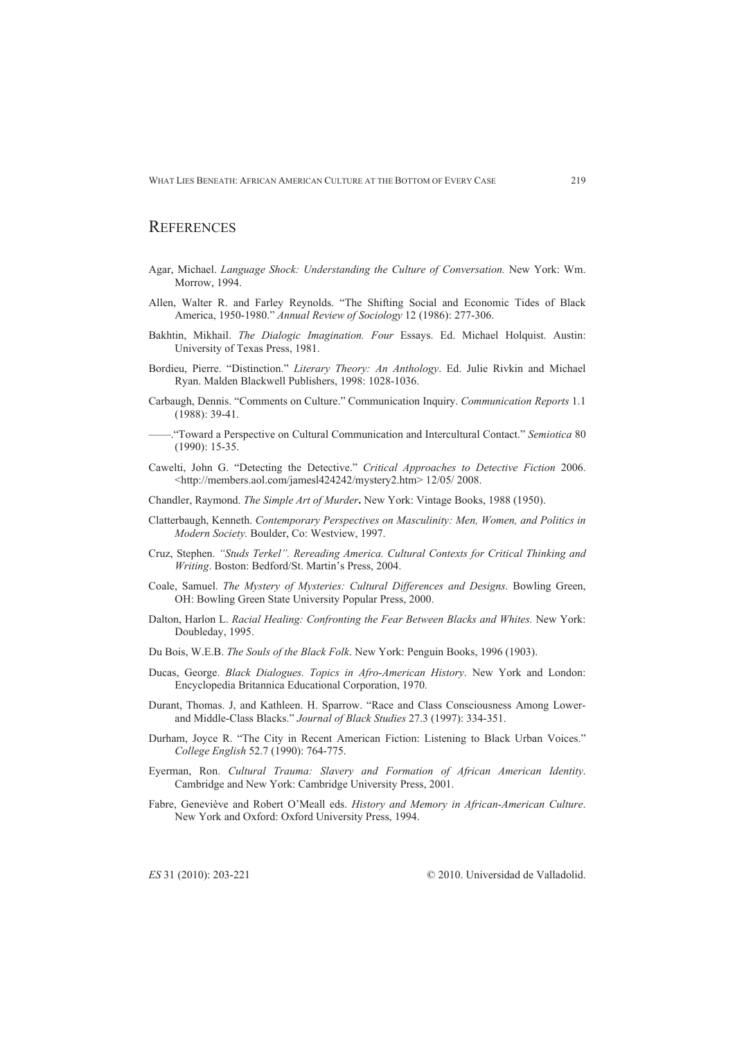## **REFERENCES**

- Agar, Michael. *Language Shock: Understanding the Culture of Conversation.* New York: Wm. Morrow, 1994.
- Allen, Walter R. and Farley Reynolds. "The Shifting Social and Economic Tides of Black America, 1950-1980." *Annual Review of Sociology* 12 (1986): 277-306.
- Bakhtin, Mikhail. *The Dialogic Imagination. Four* Essays. Ed. Michael Holquist. Austin: University of Texas Press, 1981.
- Bordieu, Pierre. "Distinction." *Literary Theory: An Anthology*. Ed. Julie Rivkin and Michael Ryan. Malden Blackwell Publishers, 1998: 1028-1036.
- Carbaugh, Dennis. "Comments on Culture." Communication Inquiry. *Communication Reports* 1.1 (1988): 39-41.
- ——."Toward a Perspective on Cultural Communication and Intercultural Contact." *Semiotica* 80 (1990): 15-35.
- Cawelti, John G. "Detecting the Detective." *Critical Approaches to Detective Fiction* 2006. <http://members.aol.com/jamesl424242/mystery2.htm> 12/05/ 2008.
- Chandler, Raymond. *The Simple Art of Murder***.** New York: Vintage Books, 1988 (1950).
- Clatterbaugh, Kenneth. *Contemporary Perspectives on Masculinity: Men, Women, and Politics in Modern Society.* Boulder, Co: Westview, 1997.
- Cruz, Stephen. *"Studs Terkel". Rereading America. Cultural Contexts for Critical Thinking and Writing*. Boston: Bedford/St. Martin's Press, 2004.
- Coale, Samuel. *The Mystery of Mysteries: Cultural Differences and Designs*. Bowling Green, OH: Bowling Green State University Popular Press, 2000.
- Dalton, Harlon L. *Racial Healing: Confronting the Fear Between Blacks and Whites.* New York: Doubleday, 1995.
- Du Bois, W.E.B. *The Souls of the Black Folk*. New York: Penguin Books, 1996 (1903).
- Ducas, George. *Black Dialogues. Topics in Afro-American History*. New York and London: Encyclopedia Britannica Educational Corporation, 1970.
- Durant, Thomas. J, and Kathleen. H. Sparrow. "Race and Class Consciousness Among Lowerand Middle-Class Blacks." *Journal of Black Studies* 27.3 (1997): 334-351.
- Durham, Joyce R. "The City in Recent American Fiction: Listening to Black Urban Voices." *College English* 52.7 (1990): 764-775.
- Eyerman, Ron. *Cultural Trauma: Slavery and Formation of African American Identity*. Cambridge and New York: Cambridge University Press, 2001.
- Fabre, Geneviève and Robert O'Meall eds. *History and Memory in African-American Culture*. New York and Oxford: Oxford University Press, 1994.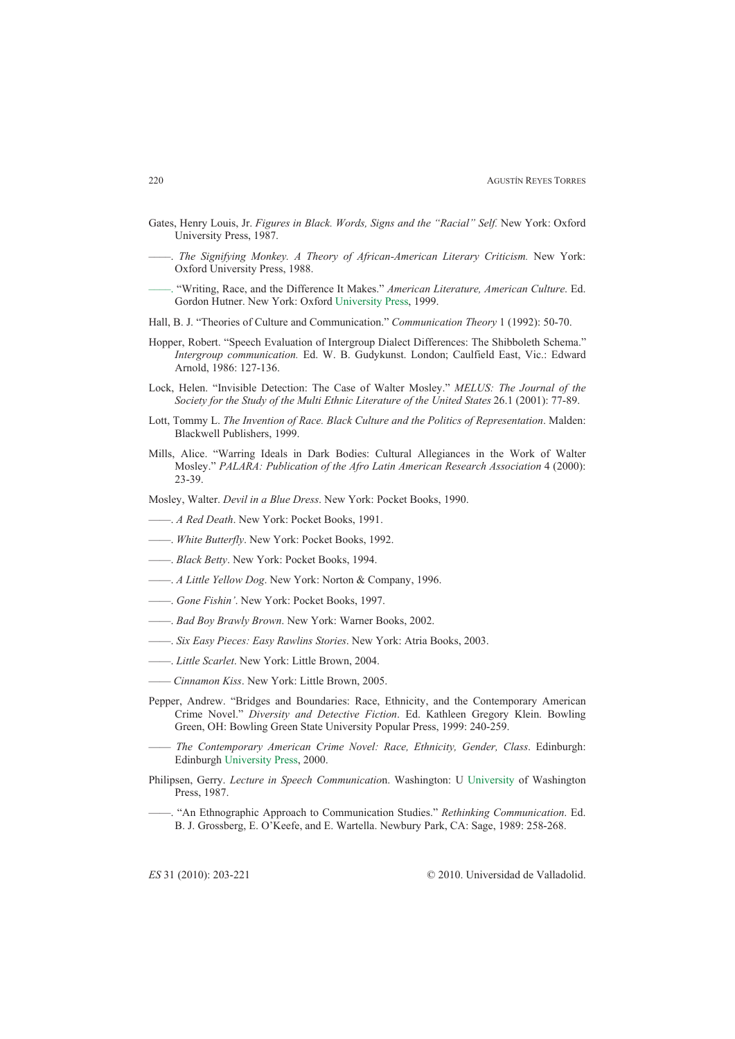- Gates, Henry Louis, Jr. *Figures in Black. Words, Signs and the "Racial" Self.* New York: Oxford University Press, 1987.
- ––––. *The Signifying Monkey. A Theory of African-American Literary Criticism.* New York: Oxford University Press, 1988.
- ––––. "Writing, Race, and the Difference It Makes." *American Literature, American Culture*. Ed. Gordon Hutner. New York: Oxford University Press, 1999.
- Hall, B. J. "Theories of Culture and Communication." *Communication Theory* 1 (1992): 50-70.
- Hopper, Robert. "Speech Evaluation of Intergroup Dialect Differences: The Shibboleth Schema." *Intergroup communication.* Ed. W. B. Gudykunst. London; Caulfield East, Vic.: Edward Arnold, 1986: 127-136.
- Lock, Helen. "Invisible Detection: The Case of Walter Mosley." *MELUS: The Journal of the Society for the Study of the Multi Ethnic Literature of the United States* 26.1 (2001): 77-89.
- Lott, Tommy L. *The Invention of Race. Black Culture and the Politics of Representation*. Malden: Blackwell Publishers, 1999.
- Mills, Alice. "Warring Ideals in Dark Bodies: Cultural Allegiances in the Work of Walter Mosley." *PALARA: Publication of the Afro Latin American Research Association* 4 (2000): 23-39.
- Mosley, Walter. *Devil in a Blue Dress*. New York: Pocket Books, 1990.
- ——. *A Red Death*. New York: Pocket Books, 1991.
- ——. *White Butterfly*. New York: Pocket Books, 1992.
- ——. *Black Betty*. New York: Pocket Books, 1994.
- ——. *A Little Yellow Dog*. New York: Norton & Company, 1996.
- ——. *Gone Fishin'*. New York: Pocket Books, 1997.
- ——. *Bad Boy Brawly Brown*. New York: Warner Books, 2002.
- ——. *Six Easy Pieces: Easy Rawlins Stories*. New York: Atria Books, 2003.
- ——. *Little Scarlet*. New York: Little Brown, 2004.
- —— *Cinnamon Kiss*. New York: Little Brown, 2005.
- Pepper, Andrew. "Bridges and Boundaries: Race, Ethnicity, and the Contemporary American Crime Novel." *Diversity and Detective Fiction*. Ed. Kathleen Gregory Klein. Bowling Green, OH: Bowling Green State University Popular Press, 1999: 240-259.
- —— *The Contemporary American Crime Novel: Race, Ethnicity, Gender, Class*. Edinburgh: Edinburgh University Press, 2000.
- Philipsen, Gerry. *Lecture in Speech Communicatio*n. Washington: U University of Washington Press, 1987.
- ——. "An Ethnographic Approach to Communication Studies." *Rethinking Communication*. Ed. B. J. Grossberg, E. O'Keefe, and E. Wartella. Newbury Park, CA: Sage, 1989: 258-268.